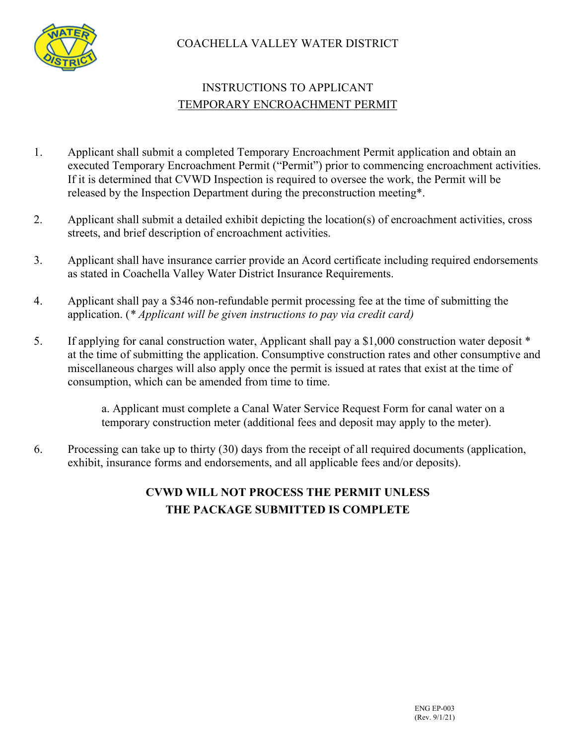

### COACHELLA VALLEY WATER DISTRICT

# INSTRUCTIONS TO APPLICANT TEMPORARY ENCROACHMENT PERMIT

- 1. Applicant shall submit a completed Temporary Encroachment Permit application and obtain an executed Temporary Encroachment Permit ("Permit") prior to commencing encroachment activities. If it is determined that CVWD Inspection is required to oversee the work, the Permit will be released by the Inspection Department during the preconstruction meeting\*.
- 2. Applicant shall submit a detailed exhibit depicting the location(s) of encroachment activities, cross streets, and brief description of encroachment activities.
- 3. Applicant shall have insurance carrier provide an Acord certificate including required endorsements as stated in Coachella Valley Water District Insurance Requirements.
- 4. Applicant shall pay a \$346 non-refundable permit processing fee at the time of submitting the application. (*\* Applicant will be given instructions to pay via credit card)*
- 5. If applying for canal construction water, Applicant shall pay a \$1,000 construction water deposit \* at the time of submitting the application. Consumptive construction rates and other consumptive and miscellaneous charges will also apply once the permit is issued at rates that exist at the time of consumption, which can be amended from time to time.

a. Applicant must complete a Canal Water Service Request Form for canal water on a temporary construction meter (additional fees and deposit may apply to the meter).

6. Processing can take up to thirty (30) days from the receipt of all required documents (application, exhibit, insurance forms and endorsements, and all applicable fees and/or deposits).

### **CVWD WILL NOT PROCESS THE PERMIT UNLESS THE PACKAGE SUBMITTED IS COMPLETE**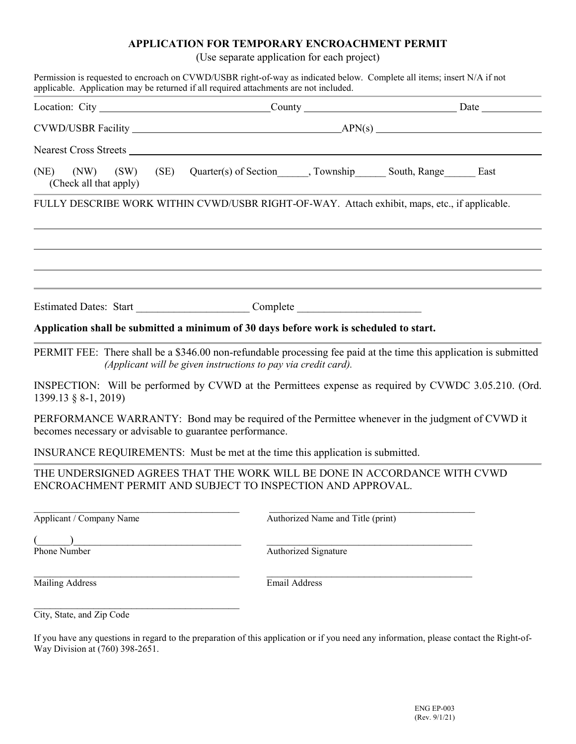#### **APPLICATION FOR TEMPORARY ENCROACHMENT PERMIT**

(Use separate application for each project)

| Nearest Cross Streets                                                                                                                                                                |                      |                                   |  |  |  |  |
|--------------------------------------------------------------------------------------------------------------------------------------------------------------------------------------|----------------------|-----------------------------------|--|--|--|--|
|                                                                                                                                                                                      |                      |                                   |  |  |  |  |
|                                                                                                                                                                                      |                      |                                   |  |  |  |  |
| (NE) (NW) (SW) (SE) Quarter(s) of Section______, Township________ South, Range_________ East<br>(Check all that apply)                                                               |                      |                                   |  |  |  |  |
| FULLY DESCRIBE WORK WITHIN CVWD/USBR RIGHT-OF-WAY. Attach exhibit, maps, etc., if applicable.                                                                                        |                      |                                   |  |  |  |  |
|                                                                                                                                                                                      |                      |                                   |  |  |  |  |
|                                                                                                                                                                                      |                      |                                   |  |  |  |  |
|                                                                                                                                                                                      |                      |                                   |  |  |  |  |
| Application shall be submitted a minimum of 30 days before work is scheduled to start.                                                                                               |                      |                                   |  |  |  |  |
| PERMIT FEE: There shall be a \$346.00 non-refundable processing fee paid at the time this application is submitted<br>(Applicant will be given instructions to pay via credit card). |                      |                                   |  |  |  |  |
| INSPECTION: Will be performed by CVWD at the Permittees expense as required by CVWDC 3.05.210. (Ord.<br>1399.13 § 8-1, 2019)                                                         |                      |                                   |  |  |  |  |
| PERFORMANCE WARRANTY: Bond may be required of the Permittee whenever in the judgment of CVWD it<br>becomes necessary or advisable to guarantee performance.                          |                      |                                   |  |  |  |  |
| INSURANCE REQUIREMENTS: Must be met at the time this application is submitted.                                                                                                       |                      |                                   |  |  |  |  |
| THE UNDERSIGNED AGREES THAT THE WORK WILL BE DONE IN ACCORDANCE WITH CVWD<br>ENCROACHMENT PERMIT AND SUBJECT TO INSPECTION AND APPROVAL.                                             |                      |                                   |  |  |  |  |
| Applicant / Company Name                                                                                                                                                             |                      | Authorized Name and Title (print) |  |  |  |  |
|                                                                                                                                                                                      |                      |                                   |  |  |  |  |
| Phone Number                                                                                                                                                                         | Authorized Signature |                                   |  |  |  |  |
| Mailing Address                                                                                                                                                                      | Email Address        |                                   |  |  |  |  |
| City, State, and Zip Code                                                                                                                                                            |                      |                                   |  |  |  |  |

If you have any questions in regard to the preparation of this application or if you need any information, please contact the Right-of-Way Division at (760) 398-2651.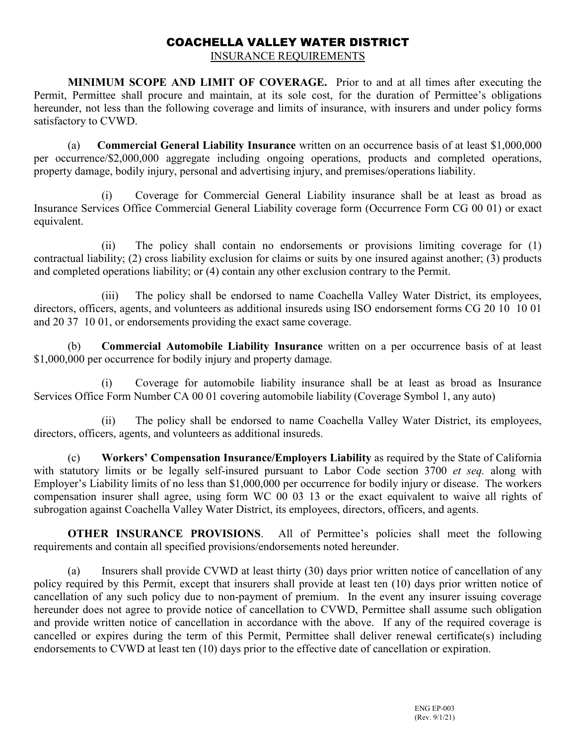# COACHELLA VALLEY WATER DISTRICT

INSURANCE REQUIREMENTS

**MINIMUM SCOPE AND LIMIT OF COVERAGE.** Prior to and at all times after executing the Permit, Permittee shall procure and maintain, at its sole cost, for the duration of Permittee's obligations hereunder, not less than the following coverage and limits of insurance, with insurers and under policy forms satisfactory to CVWD.

(a) **Commercial General Liability Insurance** written on an occurrence basis of at least \$1,000,000 per occurrence/\$2,000,000 aggregate including ongoing operations, products and completed operations, property damage, bodily injury, personal and advertising injury, and premises/operations liability.

(i) Coverage for Commercial General Liability insurance shall be at least as broad as Insurance Services Office Commercial General Liability coverage form (Occurrence Form CG 00 01) or exact equivalent.

(ii) The policy shall contain no endorsements or provisions limiting coverage for (1) contractual liability; (2) cross liability exclusion for claims or suits by one insured against another; (3) products and completed operations liability; or (4) contain any other exclusion contrary to the Permit.

(iii) The policy shall be endorsed to name Coachella Valley Water District, its employees, directors, officers, agents, and volunteers as additional insureds using ISO endorsement forms CG 20 10 10 01 and 20 37 10 01, or endorsements providing the exact same coverage.

(b) **Commercial Automobile Liability Insurance** written on a per occurrence basis of at least \$1,000,000 per occurrence for bodily injury and property damage.

(i) Coverage for automobile liability insurance shall be at least as broad as Insurance Services Office Form Number CA 00 01 covering automobile liability (Coverage Symbol 1, any auto)

(ii) The policy shall be endorsed to name Coachella Valley Water District, its employees, directors, officers, agents, and volunteers as additional insureds.

(c) **Workers' Compensation Insurance/Employers Liability** as required by the State of California with statutory limits or be legally self-insured pursuant to Labor Code section 3700 *et seq.* along with Employer's Liability limits of no less than \$1,000,000 per occurrence for bodily injury or disease. The workers compensation insurer shall agree, using form WC 00 03 13 or the exact equivalent to waive all rights of subrogation against Coachella Valley Water District, its employees, directors, officers, and agents.

**OTHER INSURANCE PROVISIONS**. All of Permittee's policies shall meet the following requirements and contain all specified provisions/endorsements noted hereunder.

(a) Insurers shall provide CVWD at least thirty (30) days prior written notice of cancellation of any policy required by this Permit, except that insurers shall provide at least ten (10) days prior written notice of cancellation of any such policy due to non-payment of premium. In the event any insurer issuing coverage hereunder does not agree to provide notice of cancellation to CVWD, Permittee shall assume such obligation and provide written notice of cancellation in accordance with the above. If any of the required coverage is cancelled or expires during the term of this Permit, Permittee shall deliver renewal certificate(s) including endorsements to CVWD at least ten (10) days prior to the effective date of cancellation or expiration.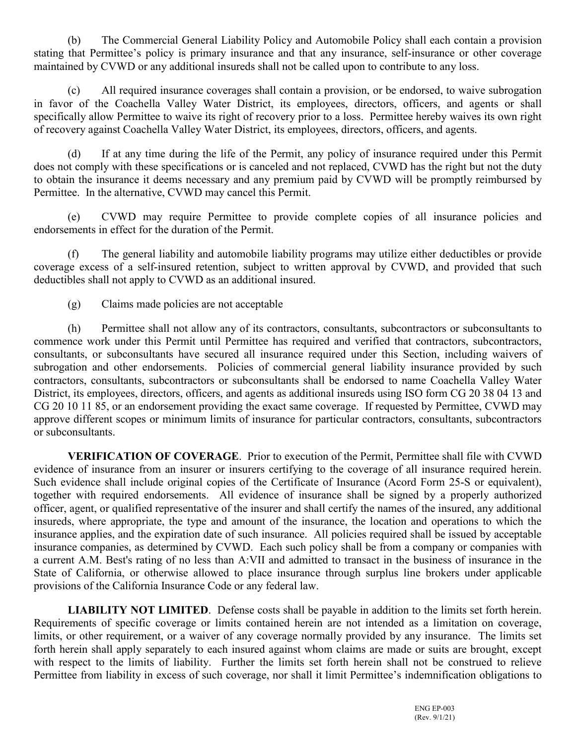(b) The Commercial General Liability Policy and Automobile Policy shall each contain a provision stating that Permittee's policy is primary insurance and that any insurance, self-insurance or other coverage maintained by CVWD or any additional insureds shall not be called upon to contribute to any loss.

(c) All required insurance coverages shall contain a provision, or be endorsed, to waive subrogation in favor of the Coachella Valley Water District, its employees, directors, officers, and agents or shall specifically allow Permittee to waive its right of recovery prior to a loss. Permittee hereby waives its own right of recovery against Coachella Valley Water District, its employees, directors, officers, and agents.

(d) If at any time during the life of the Permit, any policy of insurance required under this Permit does not comply with these specifications or is canceled and not replaced, CVWD has the right but not the duty to obtain the insurance it deems necessary and any premium paid by CVWD will be promptly reimbursed by Permittee. In the alternative, CVWD may cancel this Permit.

(e) CVWD may require Permittee to provide complete copies of all insurance policies and endorsements in effect for the duration of the Permit.

(f) The general liability and automobile liability programs may utilize either deductibles or provide coverage excess of a self-insured retention, subject to written approval by CVWD, and provided that such deductibles shall not apply to CVWD as an additional insured.

(g) Claims made policies are not acceptable

(h) Permittee shall not allow any of its contractors, consultants, subcontractors or subconsultants to commence work under this Permit until Permittee has required and verified that contractors, subcontractors, consultants, or subconsultants have secured all insurance required under this Section, including waivers of subrogation and other endorsements. Policies of commercial general liability insurance provided by such contractors, consultants, subcontractors or subconsultants shall be endorsed to name Coachella Valley Water District, its employees, directors, officers, and agents as additional insureds using ISO form CG 20 38 04 13 and CG 20 10 11 85, or an endorsement providing the exact same coverage. If requested by Permittee, CVWD may approve different scopes or minimum limits of insurance for particular contractors, consultants, subcontractors or subconsultants.

**VERIFICATION OF COVERAGE**. Prior to execution of the Permit, Permittee shall file with CVWD evidence of insurance from an insurer or insurers certifying to the coverage of all insurance required herein. Such evidence shall include original copies of the Certificate of Insurance (Acord Form 25-S or equivalent), together with required endorsements. All evidence of insurance shall be signed by a properly authorized officer, agent, or qualified representative of the insurer and shall certify the names of the insured, any additional insureds, where appropriate, the type and amount of the insurance, the location and operations to which the insurance applies, and the expiration date of such insurance. All policies required shall be issued by acceptable insurance companies, as determined by CVWD. Each such policy shall be from a company or companies with a current A.M. Best's rating of no less than A:VII and admitted to transact in the business of insurance in the State of California, or otherwise allowed to place insurance through surplus line brokers under applicable provisions of the California Insurance Code or any federal law.

**LIABILITY NOT LIMITED**. Defense costs shall be payable in addition to the limits set forth herein. Requirements of specific coverage or limits contained herein are not intended as a limitation on coverage, limits, or other requirement, or a waiver of any coverage normally provided by any insurance. The limits set forth herein shall apply separately to each insured against whom claims are made or suits are brought, except with respect to the limits of liability. Further the limits set forth herein shall not be construed to relieve Permittee from liability in excess of such coverage, nor shall it limit Permittee's indemnification obligations to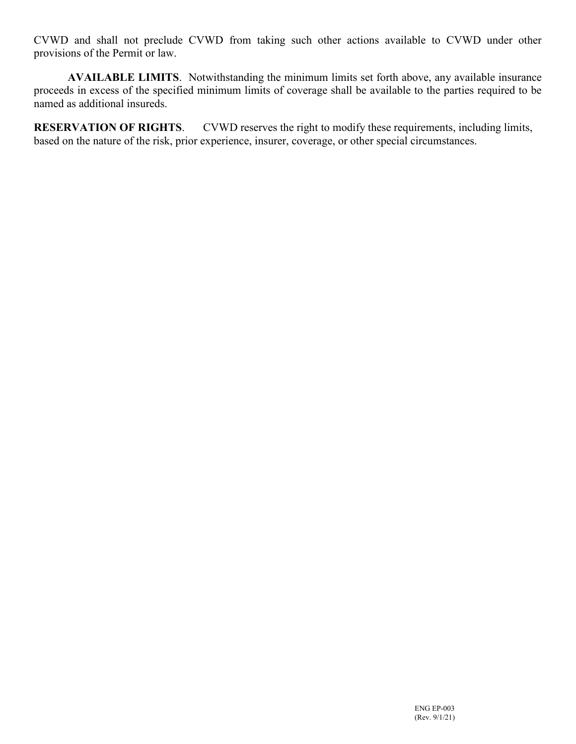CVWD and shall not preclude CVWD from taking such other actions available to CVWD under other provisions of the Permit or law.

**AVAILABLE LIMITS**. Notwithstanding the minimum limits set forth above, any available insurance proceeds in excess of the specified minimum limits of coverage shall be available to the parties required to be named as additional insureds.

**RESERVATION OF RIGHTS**. CVWD reserves the right to modify these requirements, including limits, based on the nature of the risk, prior experience, insurer, coverage, or other special circumstances.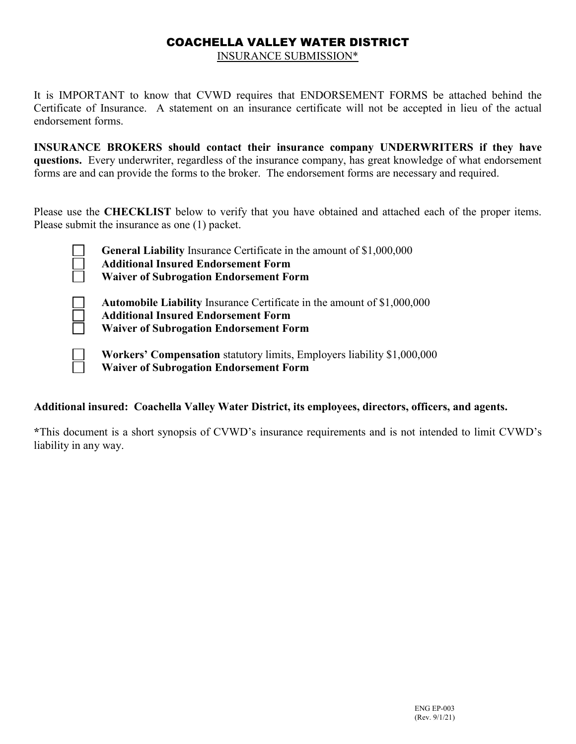## COACHELLA VALLEY WATER DISTRICT

INSURANCE SUBMISSION\*

It is IMPORTANT to know that CVWD requires that ENDORSEMENT FORMS be attached behind the Certificate of Insurance. A statement on an insurance certificate will not be accepted in lieu of the actual endorsement forms.

**INSURANCE BROKERS should contact their insurance company UNDERWRITERS if they have questions.** Every underwriter, regardless of the insurance company, has great knowledge of what endorsement forms are and can provide the forms to the broker. The endorsement forms are necessary and required.

Please use the **CHECKLIST** below to verify that you have obtained and attached each of the proper items. Please submit the insurance as one (1) packet.

| $\overline{\phantom{a}}$ | <b>General Liability Insurance Certificate in the amount of \$1,000,000</b> |
|--------------------------|-----------------------------------------------------------------------------|
| $\Box$                   | <b>Additional Insured Endorsement Form</b>                                  |
| $\Box$                   | <b>Waiver of Subrogation Endorsement Form</b>                               |
|                          |                                                                             |

**Automobile Liability** Insurance Certificate in the amount of \$1,000,000 **Additional Insured Endorsement Form Waiver of Subrogation Endorsement Form**

**Workers' Compensation** statutory limits, Employers liability \$1,000,000 **Waiver of Subrogation Endorsement Form**

#### **Additional insured: Coachella Valley Water District, its employees, directors, officers, and agents.**

**\***This document is a short synopsis of CVWD's insurance requirements and is not intended to limit CVWD's liability in any way.